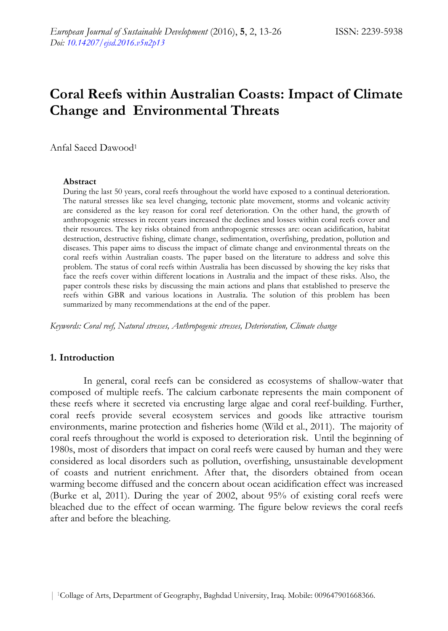# **Coral Reefs within Australian Coasts: Impact of Climate Change and Environmental Threats**

Anfal Saeed Dawood1

#### **Abstract**

During the last 50 years, coral reefs throughout the world have exposed to a continual deterioration. The natural stresses like sea level changing, tectonic plate movement, storms and volcanic activity are considered as the key reason for coral reef deterioration. On the other hand, the growth of anthropogenic stresses in recent years increased the declines and losses within coral reefs cover and their resources. The key risks obtained from anthropogenic stresses are: ocean acidification, habitat destruction, destructive fishing, climate change, sedimentation, overfishing, predation, pollution and diseases. This paper aims to discuss the impact of climate change and environmental threats on the coral reefs within Australian coasts. The paper based on the literature to address and solve this problem. The status of coral reefs within Australia has been discussed by showing the key risks that face the reefs cover within different locations in Australia and the impact of these risks. Also, the paper controls these risks by discussing the main actions and plans that established to preserve the reefs within GBR and various locations in Australia. The solution of this problem has been summarized by many recommendations at the end of the paper.

*Keywords: Coral reef, Natural stresses, Anthropogenic stresses, Deterioration, Climate change* 

## **1. Introduction**

In general, coral reefs can be considered as ecosystems of shallow-water that composed of multiple reefs. The calcium carbonate represents the main component of these reefs where it secreted via encrusting large algae and coral reef-building. Further, coral reefs provide several ecosystem services and goods like attractive tourism environments, marine protection and fisheries home (Wild et al., 2011). The majority of coral reefs throughout the world is exposed to deterioration risk. Until the beginning of 1980s, most of disorders that impact on coral reefs were caused by human and they were considered as local disorders such as pollution, overfishing, unsustainable development of coasts and nutrient enrichment. After that, the disorders obtained from ocean warming become diffused and the concern about ocean acidification effect was increased (Burke et al, 2011). During the year of 2002, about 95% of existing coral reefs were bleached due to the effect of ocean warming. The figure below reviews the coral reefs after and before the bleaching.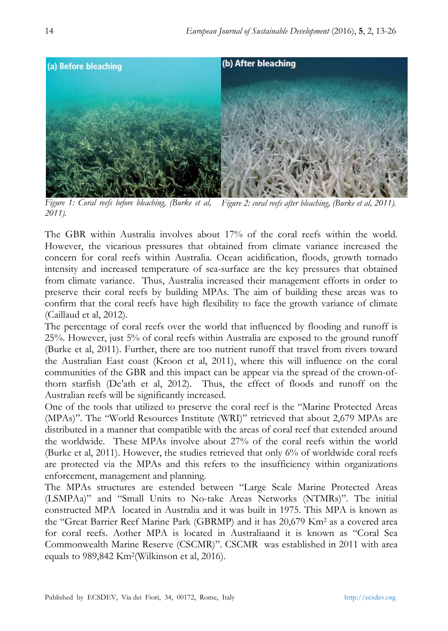

*Figure 1: Coral reefs before bleaching, (Burke et al, 2011). Figure 2: coral reefs after bleaching, (Burke et al, 2011).* 

The GBR within Australia involves about 17% of the coral reefs within the world. However, the vicarious pressures that obtained from climate variance increased the concern for coral reefs within Australia. Ocean acidification, floods, growth tornado intensity and increased temperature of sea-surface are the key pressures that obtained from climate variance. Thus, Australia increased their management efforts in order to preserve their coral reefs by building MPAs. The aim of building these areas was to confirm that the coral reefs have high flexibility to face the growth variance of climate (Caillaud et al, 2012).

The percentage of coral reefs over the world that influenced by flooding and runoff is 25%. However, just 5% of coral reefs within Australia are exposed to the ground runoff (Burke et al, 2011). Further, there are too nutrient runoff that travel from rivers toward the Australian East coast (Kroon et al, 2011), where this will influence on the coral communities of the GBR and this impact can be appear via the spread of the crown-ofthorn starfish (De'ath et al, 2012). Thus, the effect of floods and runoff on the Australian reefs will be significantly increased.

One of the tools that utilized to preserve the coral reef is the "Marine Protected Areas (MPAs)". The "World Resources Institute (WRI)" retrieved that about 2,679 MPAs are distributed in a manner that compatible with the areas of coral reef that extended around the worldwide. These MPAs involve about 27% of the coral reefs within the world (Burke et al, 2011). However, the studies retrieved that only 6% of worldwide coral reefs are protected via the MPAs and this refers to the insufficiency within organizations enforcement, management and planning.

The MPAs structures are extended between "Large Scale Marine Protected Areas (LSMPAa)" and "Small Units to No-take Areas Networks (NTMRs)". The initial constructed MPA located in Australia and it was built in 1975. This MPA is known as the "Great Barrier Reef Marine Park (GBRMP) and it has 20,679 Km2 as a covered area for coral reefs. Aother MPA is located in Australiaand it is known as "Coral Sea Commonwealth Marine Reserve (CSCMR)". CSCMR was established in 2011 with area equals to 989,842 Km2(Wilkinson et al, 2016).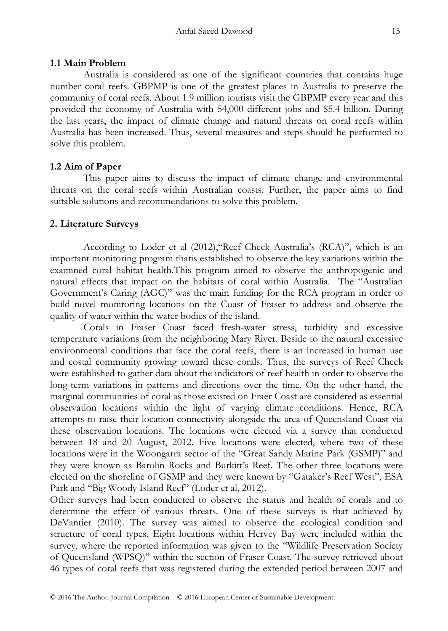#### **1.1 Main Problem**

Australia is considered as one of the significant countries that contains huge number coral reefs. GBPMP is one of the greatest places in Australia to preserve the community of coral reefs. About 1.9 million tourists visit the GBPMP every year and this provided the economy of Australia with 54,000 different jobs and \$5.4 billion. During the last years, the impact of climate change and natural threats on coral reefs within Australia has been increased. Thus, several measures and steps should be performed to solve this problem.

#### **1.2 Aim of Paper**

This paper aims to discuss the impact of climate change and environmental threats on the coral reefs within Australian coasts. Further, the paper aims to find suitable solutions and recommendations to solve this problem.

#### **2. Literature Surveys**

According to Loder et al (2012),"Reef Check Australia's (RCA)", which is an important monitoring program thatis established to observe the key variations within the examined coral habitat health.This program aimed to observe the anthropogenic and natural effects that impact on the habitats of coral within Australia. The "Australian Government's Caring (AGC)" was the main funding for the RCA program in order to build novel monitoring locations on the Coast of Fraser to address and observe the quality of water within the water bodies of the island.

Corals in Fraser Coast faced fresh-water stress, turbidity and excessive temperature variations from the neighboring Mary River. Beside to the natural excessive environmental conditions that face the coral reefs, there is an increased in human use and costal community growing toward these corals. Thus, the surveys of Reef Check were established to gather data about the indicators of reef health in order to observe the long-term variations in patterns and directions over the time. On the other hand, the marginal communities of coral as those existed on Fraer Coast are considered as essential observation locations within the light of varying climate conditions. Hence, RCA attempts to raise their location connectivity alongside the area of Queensland Coast via these observation locations. The locations were elected via a survey that conducted between 18 and 20 August, 2012. Five locations were elected, where two of these locations were in the Woongarra sector of the "Great Sandy Marine Park (GSMP)" and they were known as Barolin Rocks and Burkitt's Reef. The other three locations were elected on the shoreline of GSMP and they were known by "Gataker's Reef West", ESA Park and "Big Woody Island Reef" (Loder et al, 2012).

Other surveys had been conducted to observe the status and health of corals and to determine the effect of various threats. One of these surveys is that achieved by DeVantier (2010). The survey was aimed to observe the ecological condition and structure of coral types. Eight locations within Hervey Bay were included within the survey, where the reported information was given to the "Wildlife Preservation Society of Queensland (WPSQ)" within the section of Fraser Coast. The survey retrieved about 46 types of coral reefs that was registered during the extended period between 2007 and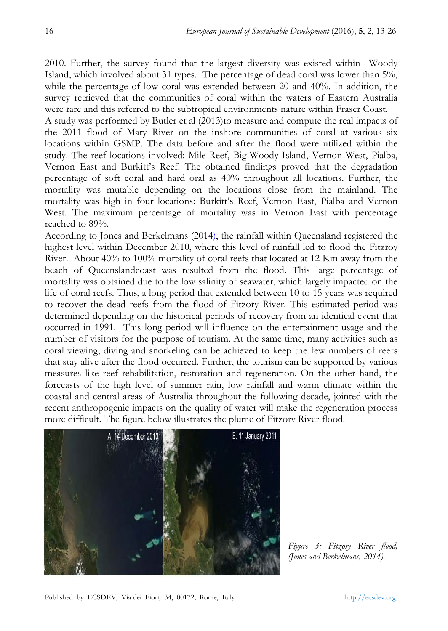2010. Further, the survey found that the largest diversity was existed within Woody Island, which involved about 31 types. The percentage of dead coral was lower than 5%, while the percentage of low coral was extended between 20 and  $40\%$ . In addition, the survey retrieved that the communities of coral within the waters of Eastern Australia were rare and this referred to the subtropical environments nature within Fraser Coast.

A study was performed by Butler et al (2013)to measure and compute the real impacts of the 2011 flood of Mary River on the inshore communities of coral at various six locations within GSMP. The data before and after the flood were utilized within the study. The reef locations involved: Mile Reef, Big-Woody Island, Vernon West, Pialba, Vernon East and Burkitt's Reef. The obtained findings proved that the degradation percentage of soft coral and hard oral as 40% throughout all locations. Further, the mortality was mutable depending on the locations close from the mainland. The mortality was high in four locations: Burkitt's Reef, Vernon East, Pialba and Vernon West. The maximum percentage of mortality was in Vernon East with percentage reached to 89%.

According to Jones and Berkelmans (2014), the rainfall within Queensland registered the highest level within December 2010, where this level of rainfall led to flood the Fitzroy River. About 40% to 100% mortality of coral reefs that located at 12 Km away from the beach of Queenslandcoast was resulted from the flood. This large percentage of mortality was obtained due to the low salinity of seawater, which largely impacted on the life of coral reefs. Thus, a long period that extended between 10 to 15 years was required to recover the dead reefs from the flood of Fitzory River. This estimated period was determined depending on the historical periods of recovery from an identical event that occurred in 1991. This long period will influence on the entertainment usage and the number of visitors for the purpose of tourism. At the same time, many activities such as coral viewing, diving and snorkeling can be achieved to keep the few numbers of reefs that stay alive after the flood occurred. Further, the tourism can be supported by various measures like reef rehabilitation, restoration and regeneration. On the other hand, the forecasts of the high level of summer rain, low rainfall and warm climate within the coastal and central areas of Australia throughout the following decade, jointed with the recent anthropogenic impacts on the quality of water will make the regeneration process more difficult. The figure below illustrates the plume of Fitzory River flood.



*Figure 3: Fitzory River flood, (Jones and Berkelmans, 2014).*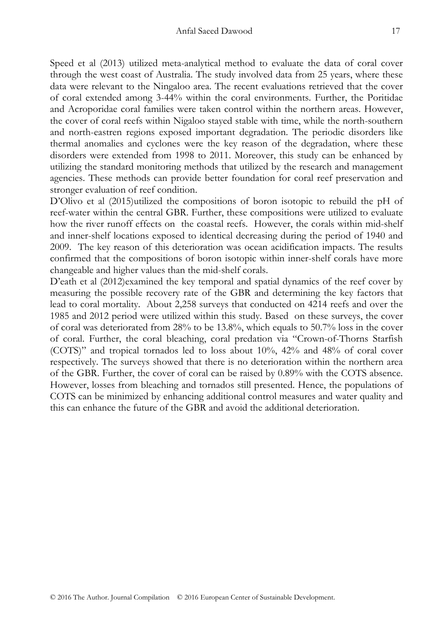Speed et al (2013) utilized meta-analytical method to evaluate the data of coral cover through the west coast of Australia. The study involved data from 25 years, where these data were relevant to the Ningaloo area. The recent evaluations retrieved that the cover of coral extended among 3-44% within the coral environments. Further, the Poritidae and Acroporidae coral families were taken control within the northern areas. However, the cover of coral reefs within Nigaloo stayed stable with time, while the north-southern and north-eastren regions exposed important degradation. The periodic disorders like thermal anomalies and cyclones were the key reason of the degradation, where these disorders were extended from 1998 to 2011. Moreover, this study can be enhanced by utilizing the standard monitoring methods that utilized by the research and management agencies. These methods can provide better foundation for coral reef preservation and stronger evaluation of reef condition.

D'Olivo et al (2015)utilized the compositions of boron isotopic to rebuild the pH of reef-water within the central GBR. Further, these compositions were utilized to evaluate how the river runoff effects on the coastal reefs. However, the corals within mid-shelf and inner-shelf locations exposed to identical decreasing during the period of 1940 and 2009. The key reason of this deterioration was ocean acidification impacts. The results confirmed that the compositions of boron isotopic within inner-shelf corals have more changeable and higher values than the mid-shelf corals.

D'eath et al (2012)examined the key temporal and spatial dynamics of the reef cover by measuring the possible recovery rate of the GBR and determining the key factors that lead to coral mortality. About 2,258 surveys that conducted on 4214 reefs and over the 1985 and 2012 period were utilized within this study. Based on these surveys, the cover of coral was deteriorated from 28% to be 13.8%, which equals to 50.7% loss in the cover of coral. Further, the coral bleaching, coral predation via "Crown-of-Thorns Starfish (COTS)" and tropical tornados led to loss about 10%, 42% and 48% of coral cover respectively. The surveys showed that there is no deterioration within the northern area of the GBR. Further, the cover of coral can be raised by 0.89% with the COTS absence. However, losses from bleaching and tornados still presented. Hence, the populations of COTS can be minimized by enhancing additional control measures and water quality and this can enhance the future of the GBR and avoid the additional deterioration.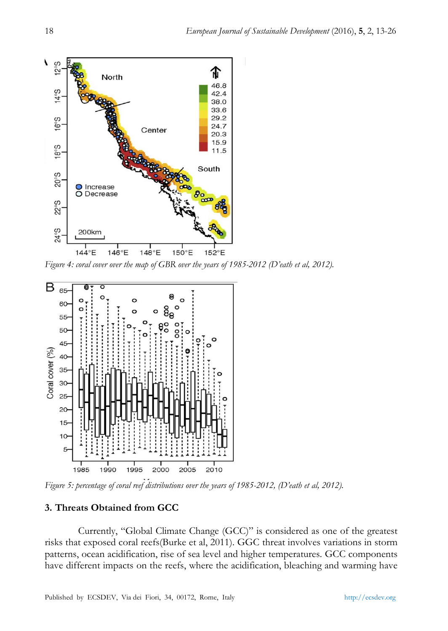

*Figure 4: coral cover over the map of GBR over the years of 1985-2012 (D'eath et al, 2012).* 



*Figure 5: percentage of coral reef distributions over the years of 1985-2012, (D'eath et al, 2012).*

## **3. Threats Obtained from GCC**

Currently, "Global Climate Change (GCC)" is considered as one of the greatest risks that exposed coral reefs(Burke et al, 2011). GGC threat involves variations in storm patterns, ocean acidification, rise of sea level and higher temperatures. GCC components have different impacts on the reefs, where the acidification, bleaching and warming have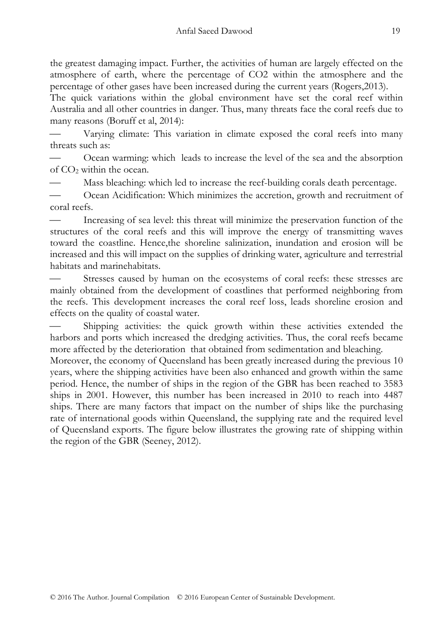the greatest damaging impact. Further, the activities of human are largely effected on the atmosphere of earth, where the percentage of CO2 within the atmosphere and the percentage of other gases have been increased during the current years (Rogers,2013).

The quick variations within the global environment have set the coral reef within Australia and all other countries in danger. Thus, many threats face the coral reefs due to many reasons (Boruff et al, 2014):

 Varying climate: This variation in climate exposed the coral reefs into many threats such as:

 Ocean warming: which leads to increase the level of the sea and the absorption of CO2 within the ocean.

Mass bleaching: which led to increase the reef-building corals death percentage.

 Ocean Acidification: Which minimizes the accretion, growth and recruitment of coral reefs.

 Increasing of sea level: this threat will minimize the preservation function of the structures of the coral reefs and this will improve the energy of transmitting waves toward the coastline. Hence,the shoreline salinization, inundation and erosion will be increased and this will impact on the supplies of drinking water, agriculture and terrestrial habitats and marinehabitats.

 Stresses caused by human on the ecosystems of coral reefs: these stresses are mainly obtained from the development of coastlines that performed neighboring from the reefs. This development increases the coral reef loss, leads shoreline erosion and effects on the quality of coastal water.

 Shipping activities: the quick growth within these activities extended the harbors and ports which increased the dredging activities. Thus, the coral reefs became more affected by the deterioration that obtained from sedimentation and bleaching.

Moreover, the economy of Queensland has been greatly increased during the previous 10 years, where the shipping activities have been also enhanced and growth within the same period. Hence, the number of ships in the region of the GBR has been reached to 3583 ships in 2001. However, this number has been increased in 2010 to reach into 4487 ships. There are many factors that impact on the number of ships like the purchasing rate of international goods within Queensland, the supplying rate and the required level of Queensland exports. The figure below illustrates the growing rate of shipping within the region of the GBR (Seeney, 2012).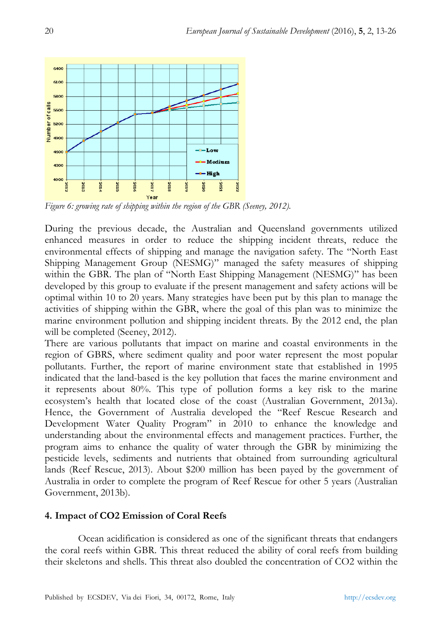

*Figure 6: growing rate of shipping within the region of the GBR (Seeney, 2012).* 

During the previous decade, the Australian and Queensland governments utilized enhanced measures in order to reduce the shipping incident threats, reduce the environmental effects of shipping and manage the navigation safety. The "North East Shipping Management Group (NESMG)" managed the safety measures of shipping within the GBR. The plan of "North East Shipping Management (NESMG)" has been developed by this group to evaluate if the present management and safety actions will be optimal within 10 to 20 years. Many strategies have been put by this plan to manage the activities of shipping within the GBR, where the goal of this plan was to minimize the marine environment pollution and shipping incident threats. By the 2012 end, the plan will be completed (Seeney, 2012).

There are various pollutants that impact on marine and coastal environments in the region of GBRS, where sediment quality and poor water represent the most popular pollutants. Further, the report of marine environment state that established in 1995 indicated that the land-based is the key pollution that faces the marine environment and it represents about 80%. This type of pollution forms a key risk to the marine ecosystem's health that located close of the coast (Australian Government, 2013a). Hence, the Government of Australia developed the "Reef Rescue Research and Development Water Quality Program" in 2010 to enhance the knowledge and understanding about the environmental effects and management practices. Further, the program aims to enhance the quality of water through the GBR by minimizing the pesticide levels, sediments and nutrients that obtained from surrounding agricultural lands (Reef Rescue, 2013). About \$200 million has been payed by the government of Australia in order to complete the program of Reef Rescue for other 5 years (Australian Government, 2013b).

## **4. Impact of CO2 Emission of Coral Reefs**

Ocean acidification is considered as one of the significant threats that endangers the coral reefs within GBR. This threat reduced the ability of coral reefs from building their skeletons and shells. This threat also doubled the concentration of CO2 within the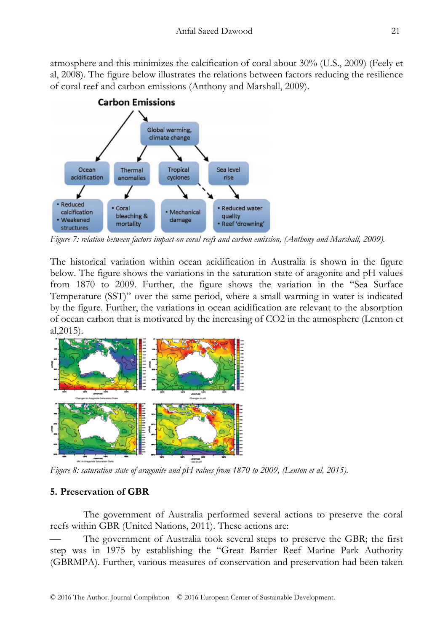atmosphere and this minimizes the calcification of coral about 30% (U.S., 2009) (Feely et al, 2008). The figure below illustrates the relations between factors reducing the resilience of coral reef and carbon emissions (Anthony and Marshall, 2009).



*Figure 7: relation between factors impact on coral reefs and carbon emission, (Anthony and Marshall, 2009).* 

The historical variation within ocean acidification in Australia is shown in the figure below. The figure shows the variations in the saturation state of aragonite and pH values from 1870 to 2009. Further, the figure shows the variation in the "Sea Surface Temperature (SST)" over the same period, where a small warming in water is indicated by the figure. Further, the variations in ocean acidification are relevant to the absorption of ocean carbon that is motivated by the increasing of CO2 in the atmosphere (Lenton et al,2015).



*Figure 8: saturation state of aragonite and pH values from 1870 to 2009, (Lenton et al, 2015).* 

## **5. Preservation of GBR**

The government of Australia performed several actions to preserve the coral reefs within GBR (United Nations, 2011). These actions are:

 The government of Australia took several steps to preserve the GBR; the first step was in 1975 by establishing the "Great Barrier Reef Marine Park Authority (GBRMPA). Further, various measures of conservation and preservation had been taken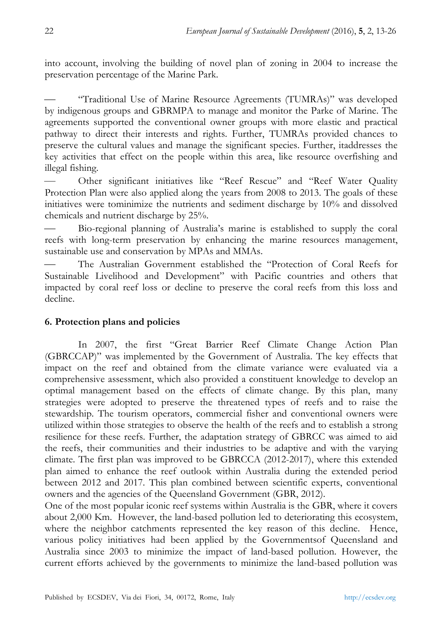into account, involving the building of novel plan of zoning in 2004 to increase the preservation percentage of the Marine Park.

 "Traditional Use of Marine Resource Agreements (TUMRAs)" was developed by indigenous groups and GBRMPA to manage and monitor the Parke of Marine. The agreements supported the conventional owner groups with more elastic and practical pathway to direct their interests and rights. Further, TUMRAs provided chances to preserve the cultural values and manage the significant species. Further, itaddresses the key activities that effect on the people within this area, like resource overfishing and illegal fishing.

 Other significant initiatives like "Reef Rescue" and "Reef Water Quality Protection Plan were also applied along the years from 2008 to 2013. The goals of these initiatives were tominimize the nutrients and sediment discharge by 10% and dissolved chemicals and nutrient discharge by 25%.

 Bio-regional planning of Australia's marine is established to supply the coral reefs with long-term preservation by enhancing the marine resources management, sustainable use and conservation by MPAs and MMAs.

 The Australian Government established the "Protection of Coral Reefs for Sustainable Livelihood and Development" with Pacific countries and others that impacted by coral reef loss or decline to preserve the coral reefs from this loss and decline.

## **6. Protection plans and policies**

In 2007, the first "Great Barrier Reef Climate Change Action Plan (GBRCCAP)" was implemented by the Government of Australia. The key effects that impact on the reef and obtained from the climate variance were evaluated via a comprehensive assessment, which also provided a constituent knowledge to develop an optimal management based on the effects of climate change. By this plan, many strategies were adopted to preserve the threatened types of reefs and to raise the stewardship. The tourism operators, commercial fisher and conventional owners were utilized within those strategies to observe the health of the reefs and to establish a strong resilience for these reefs. Further, the adaptation strategy of GBRCC was aimed to aid the reefs, their communities and their industries to be adaptive and with the varying climate. The first plan was improved to be GBRCCA (2012-2017), where this extended plan aimed to enhance the reef outlook within Australia during the extended period between 2012 and 2017. This plan combined between scientific experts, conventional owners and the agencies of the Queensland Government (GBR, 2012).

One of the most popular iconic reef systems within Australia is the GBR, where it covers about 2,000 Km. However, the land-based pollution led to deteriorating this ecosystem, where the neighbor catchments represented the key reason of this decline. Hence, various policy initiatives had been applied by the Governmentsof Queensland and Australia since 2003 to minimize the impact of land-based pollution. However, the current efforts achieved by the governments to minimize the land-based pollution was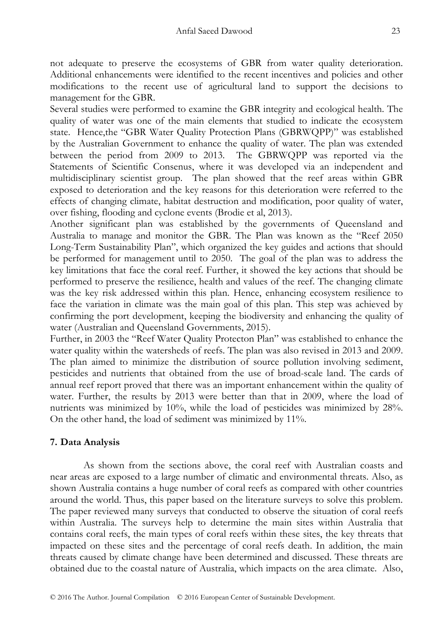not adequate to preserve the ecosystems of GBR from water quality deterioration. Additional enhancements were identified to the recent incentives and policies and other modifications to the recent use of agricultural land to support the decisions to management for the GBR.

Several studies were performed to examine the GBR integrity and ecological health. The quality of water was one of the main elements that studied to indicate the ecosystem state. Hence,the "GBR Water Quality Protection Plans (GBRWQPP)" was established by the Australian Government to enhance the quality of water. The plan was extended between the period from 2009 to 2013. The GBRWQPP was reported via the Statements of Scientific Consenus, where it was developed via an independent and multidisciplinary scientist group. The plan showed that the reef areas within GBR exposed to deterioration and the key reasons for this deterioration were referred to the effects of changing climate, habitat destruction and modification, poor quality of water, over fishing, flooding and cyclone events (Brodie et al, 2013).

Another significant plan was established by the governments of Queensland and Australia to manage and monitor the GBR. The Plan was known as the "Reef 2050 Long-Term Sustainability Plan", which organized the key guides and actions that should be performed for management until to 2050. The goal of the plan was to address the key limitations that face the coral reef. Further, it showed the key actions that should be performed to preserve the resilience, health and values of the reef. The changing climate was the key risk addressed within this plan. Hence, enhancing ecosystem resilience to face the variation in climate was the main goal of this plan. This step was achieved by confirming the port development, keeping the biodiversity and enhancing the quality of water (Australian and Queensland Governments, 2015).

Further, in 2003 the "Reef Water Quality Protecton Plan" was established to enhance the water quality within the watersheds of reefs. The plan was also revised in 2013 and 2009. The plan aimed to minimize the distribution of source pollution involving sediment, pesticides and nutrients that obtained from the use of broad-scale land. The cards of annual reef report proved that there was an important enhancement within the quality of water. Further, the results by 2013 were better than that in 2009, where the load of nutrients was minimized by 10%, while the load of pesticides was minimized by 28%. On the other hand, the load of sediment was minimized by 11%.

## **7. Data Analysis**

As shown from the sections above, the coral reef with Australian coasts and near areas are exposed to a large number of climatic and environmental threats. Also, as shown Australia contains a huge number of coral reefs as compared with other countries around the world. Thus, this paper based on the literature surveys to solve this problem. The paper reviewed many surveys that conducted to observe the situation of coral reefs within Australia. The surveys help to determine the main sites within Australia that contains coral reefs, the main types of coral reefs within these sites, the key threats that impacted on these sites and the percentage of coral reefs death. In addition, the main threats caused by climate change have been determined and discussed. These threats are obtained due to the coastal nature of Australia, which impacts on the area climate. Also,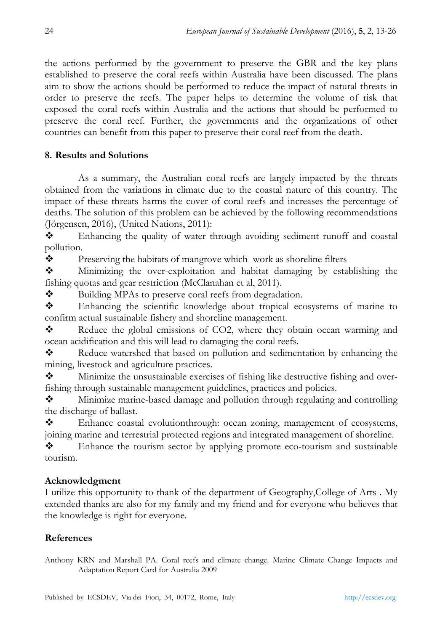the actions performed by the government to preserve the GBR and the key plans established to preserve the coral reefs within Australia have been discussed. The plans aim to show the actions should be performed to reduce the impact of natural threats in order to preserve the reefs. The paper helps to determine the volume of risk that exposed the coral reefs within Australia and the actions that should be performed to preserve the coral reef. Further, the governments and the organizations of other countries can benefit from this paper to preserve their coral reef from the death.

## **8. Results and Solutions**

As a summary, the Australian coral reefs are largely impacted by the threats obtained from the variations in climate due to the coastal nature of this country. The impact of these threats harms the cover of coral reefs and increases the percentage of deaths. The solution of this problem can be achieved by the following recommendations (Jörgensen, 2016), (United Nations, 2011):

 Enhancing the quality of water through avoiding sediment runoff and coastal pollution.

\* Preserving the habitats of mangrove which work as shoreline filters

 Minimizing the over-exploitation and habitat damaging by establishing the fishing quotas and gear restriction (McClanahan et al, 2011).

 $\mathbf{\hat{P}}$  Building MPAs to preserve coral reefs from degradation.

 Enhancing the scientific knowledge about tropical ecosystems of marine to confirm actual sustainable fishery and shoreline management.

Reduce the global emissions of CO2, where they obtain ocean warming and ocean acidification and this will lead to damaging the coral reefs.

\* Reduce watershed that based on pollution and sedimentation by enhancing the mining, livestock and agriculture practices.

 $\mathbf{\hat{P}}$  Minimize the unsustainable exercises of fishing like destructive fishing and overfishing through sustainable management guidelines, practices and policies.

 Minimize marine-based damage and pollution through regulating and controlling the discharge of ballast.

 Enhance coastal evolutionthrough: ocean zoning, management of ecosystems, joining marine and terrestrial protected regions and integrated management of shoreline.

 Enhance the tourism sector by applying promote eco-tourism and sustainable tourism.

## **Acknowledgment**

I utilize this opportunity to thank of the department of Geography,College of Arts . My extended thanks are also for my family and my friend and for everyone who believes that the knowledge is right for everyone.

## **References**

Anthony KRN and Marshall PA. Coral reefs and climate change. Marine Climate Change Impacts and Adaptation Report Card for Australia 2009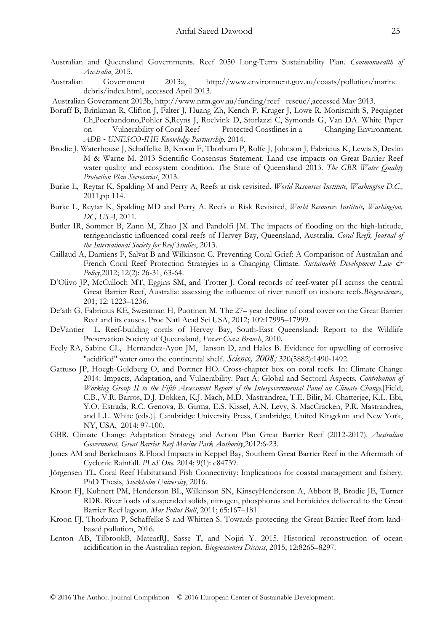- Australian and Queensland Governments. Reef 2050 Long-Term Sustainability Plan. *Commonwealth of Australia*, 2015.
- Australian Government 2013a, http://www.environment.gov.au/coasts/pollution/marine debris/index.html, accessed April 2013.
- Australian Government 2013b, http://www.nrm.gov.au/funding/reef rescue/,accessed May 2013.
- Boruff B, Brinkman R, Clifton J, Falter J, Huang Zh, Kench P, Kruger J, Lowe R, Monismith S, Péquignet Ch,Poerbandono,Pohler S,Reyns J, Roelvink D, Storlazzi C, Symonds G, Van DA. White Paper on Vulnerability of Coral Reef Protected Coastlines in a Changing Environment. *ADB* ‐ *UNESCO*‐*IHE Knowledge Partnership*, 2014.
- Brodie J, Waterhouse J, Schaffelke B, Kroon F, Thorburn P, Rolfe J, Johnson J, Fabricius K, Lewis S, Devlin M & Warne M. 2013 Scientific Consensus Statement. Land use impacts on Great Barrier Reef water quality and ecosystem condition. The State of Queensland 2013. *The GBR Water Quality Protection Plan Secretariat*, 2013.
- Burke L, Reytar K, Spalding M and Perry A, Reefs at risk revisited. *World Resources Institute, Washington D.C.,* 2011,pp 114.
- Burke L, Reytar K, Spalding MD and Perry A. Reefs at Risk Revisited, *World Resources Institute, Washington, DC, USA*, 2011.
- Butler IR, Sommer B, Zann M, Zhao JX and Pandolfi JM. The impacts of flooding on the high-latitude, terrigenoclastic influenced coral reefs of Hervey Bay, Queensland, Australia. *Coral Reefs, Journal of the International Society for Reef Studies*, 2013.
- Caillaud A, Damiens F, Salvat B and Wilkinson C. Preventing Coral Grief: A Comparison of Australian and French Coral Reef Protection Strategies in a Changing Climate. *Sustainable Development Law & Policy*,2012; 12(2): 26-31, 63-64.
- D'Olivo JP, McCulloch MT, Eggins SM, and Trotter J. Coral records of reef-water pH across the central Great Barrier Reef, Australia: assessing the influence of river runoff on inshore reefs.*Biogeosciences*, 201; 12: 1223–1236.
- De'ath G, Fabricius KE, Sweatman H, Puotinen M. The 27– year decline of coral cover on the Great Barrier Reef and its causes. Proc Natl Acad Sci USA, 2012; 109:17995–17999.
- DeVantier L. Reef-building corals of Hervey Bay, South-East Queensland: Report to the Wildlife Preservation Society of Queensland, *Fraser Coast Branch*, 2010.
- Feely RA, Sabine CL, Hernandez-Ayon JM, Ianson D, and Hales B. Evidence for upwelling of corrosive "acidified" water onto the continental shelf. *Science, 2008;* 320(5882):1490-1492.
- Gattuso JP, Hoegh-Guldberg O, and Portner HO. Cross-chapter box on coral reefs. In: Climate Change 2014: Impacts, Adaptation, and Vulnerability. Part A: Global and Sectoral Aspects*. Contribution of Working Group II to the Fifth Assessment Report of the Intergovernmental Panel on Climate Change*.[Field, C.B., V.R. Barros, D.J. Dokken, K.J. Mach, M.D. Mastrandrea, T.E. Bilir, M. Chatterjee, K.L. Ebi, Y.O. Estrada, R.C. Genova, B. Girma, E.S. Kissel, A.N. Levy, S. MacCracken, P.R. Mastrandrea, and L.L. White (eds.)]. Cambridge University Press, Cambridge, United Kingdom and New York, NY, USA, 2014: 97-100.
- GBR. Climate Change Adaptation Strategy and Action Plan Great Barrier Reef (2012-2017). *Australian Government, Great Barrier Reef Marine Park Authority*,2012:6-23.
- Jones AM and Berkelmans R.Flood Impacts in Keppel Bay, Southern Great Barrier Reef in the Aftermath of Cyclonic Rainfall. *PLoS One*. 2014; 9(1): e84739.
- Jörgensen TL. Coral Reef Habitatsand Fish Connectivity: Implications for coastal management and fishery. PhD Thesis, *Stockholm University*, 2016.
- Kroon FJ, Kuhnert PM, Henderson BL, Wilkinson SN, KinseyHenderson A, Abbott B, Brodie JE, Turner RDR. River loads of suspended solids, nitrogen, phosphorus and herbicides delivered to the Great Barrier Reef lagoon. *Mar Pollut Bull*, 2011; 65:167–181.
- Kroon FJ, Thorburn P, Schaffelke S and Whitten S. Towards protecting the Great Barrier Reef from landbased pollution, 2016.
- Lenton AB, TilbrookB, MatearRJ, Sasse T, and Nojiri Y. 2015. Historical reconstruction of ocean acidification in the Australian region. *Biogeosciences Discuss*, 2015; 12:8265–8297.